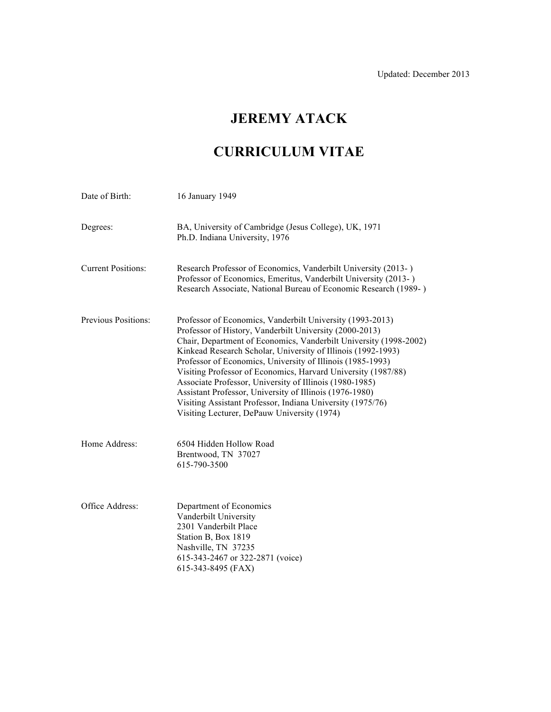# **JEREMY ATACK**

# **CURRICULUM VITAE**

| Date of Birth:            | 16 January 1949                                                                                                                                                                                                                                                                                                                                                                                                                                                                                                                                                                                                             |
|---------------------------|-----------------------------------------------------------------------------------------------------------------------------------------------------------------------------------------------------------------------------------------------------------------------------------------------------------------------------------------------------------------------------------------------------------------------------------------------------------------------------------------------------------------------------------------------------------------------------------------------------------------------------|
| Degrees:                  | BA, University of Cambridge (Jesus College), UK, 1971<br>Ph.D. Indiana University, 1976                                                                                                                                                                                                                                                                                                                                                                                                                                                                                                                                     |
| <b>Current Positions:</b> | Research Professor of Economics, Vanderbilt University (2013-)<br>Professor of Economics, Emeritus, Vanderbilt University (2013-)<br>Research Associate, National Bureau of Economic Research (1989-)                                                                                                                                                                                                                                                                                                                                                                                                                       |
| Previous Positions:       | Professor of Economics, Vanderbilt University (1993-2013)<br>Professor of History, Vanderbilt University (2000-2013)<br>Chair, Department of Economics, Vanderbilt University (1998-2002)<br>Kinkead Research Scholar, University of Illinois (1992-1993)<br>Professor of Economics, University of Illinois (1985-1993)<br>Visiting Professor of Economics, Harvard University (1987/88)<br>Associate Professor, University of Illinois (1980-1985)<br>Assistant Professor, University of Illinois (1976-1980)<br>Visiting Assistant Professor, Indiana University (1975/76)<br>Visiting Lecturer, DePauw University (1974) |
| Home Address:             | 6504 Hidden Hollow Road<br>Brentwood, TN 37027<br>615-790-3500                                                                                                                                                                                                                                                                                                                                                                                                                                                                                                                                                              |
| Office Address:           | Department of Economics<br>Vanderbilt University<br>2301 Vanderbilt Place<br>Station B, Box 1819<br>Nashville, TN 37235<br>615-343-2467 or 322-2871 (voice)<br>615-343-8495 (FAX)                                                                                                                                                                                                                                                                                                                                                                                                                                           |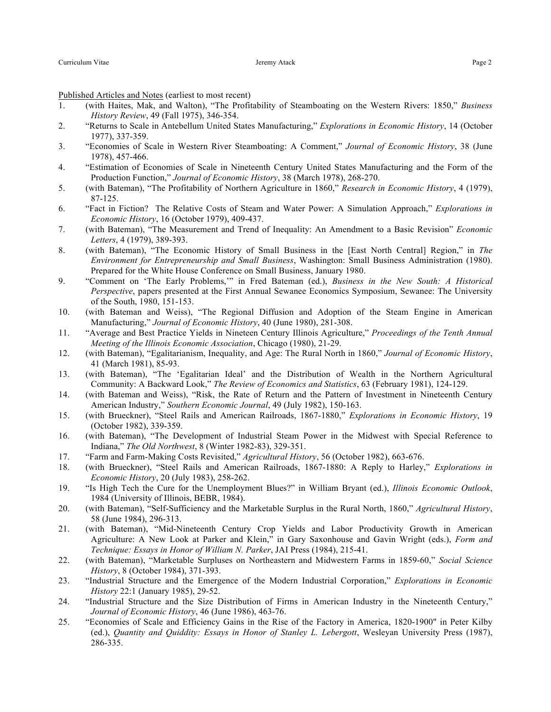Published Articles and Notes (earliest to most recent)

- 1. (with Haites, Mak, and Walton), "The Profitability of Steamboating on the Western Rivers: 1850," *Business History Review*, 49 (Fall 1975), 346-354.
- 2. "Returns to Scale in Antebellum United States Manufacturing," *Explorations in Economic History*, 14 (October 1977), 337-359.
- 3. "Economies of Scale in Western River Steamboating: A Comment," *Journal of Economic History*, 38 (June 1978), 457-466.
- 4. "Estimation of Economies of Scale in Nineteenth Century United States Manufacturing and the Form of the Production Function," *Journal of Economic History*, 38 (March 1978), 268-270.
- 5. (with Bateman), "The Profitability of Northern Agriculture in 1860," *Research in Economic History*, 4 (1979), 87-125.
- 6. "Fact in Fiction? The Relative Costs of Steam and Water Power: A Simulation Approach," *Explorations in Economic History*, 16 (October 1979), 409-437.
- 7. (with Bateman), "The Measurement and Trend of Inequality: An Amendment to a Basic Revision" *Economic Letters*, 4 (1979), 389-393.
- 8. (with Bateman), "The Economic History of Small Business in the [East North Central] Region," in *The Environment for Entrepreneurship and Small Business*, Washington: Small Business Administration (1980). Prepared for the White House Conference on Small Business, January 1980.
- 9. "Comment on 'The Early Problems,'" in Fred Bateman (ed.), *Business in the New South: A Historical Perspective*, papers presented at the First Annual Sewanee Economics Symposium, Sewanee: The University of the South, 1980, 151-153.
- 10. (with Bateman and Weiss), "The Regional Diffusion and Adoption of the Steam Engine in American Manufacturing," *Journal of Economic History*, 40 (June 1980), 281-308.
- 11. "Average and Best Practice Yields in Nineteen Century Illinois Agriculture," *Proceedings of the Tenth Annual Meeting of the Illinois Economic Association*, Chicago (1980), 21-29.
- 12. (with Bateman), "Egalitarianism, Inequality, and Age: The Rural North in 1860," *Journal of Economic History*, 41 (March 1981), 85-93.
- 13. (with Bateman), "The 'Egalitarian Ideal' and the Distribution of Wealth in the Northern Agricultural Community: A Backward Look," *The Review of Economics and Statistics*, 63 (February 1981), 124-129.
- 14. (with Bateman and Weiss), "Risk, the Rate of Return and the Pattern of Investment in Nineteenth Century American Industry," *Southern Economic Journal*, 49 (July 1982), 150-163.
- 15. (with Brueckner), "Steel Rails and American Railroads, 1867-1880," *Explorations in Economic History*, 19 (October 1982), 339-359.
- 16. (with Bateman), "The Development of Industrial Steam Power in the Midwest with Special Reference to Indiana," *The Old Northwest*, 8 (Winter 1982-83), 329-351.
- 17. "Farm and Farm-Making Costs Revisited," *Agricultural History*, 56 (October 1982), 663-676.
- 18. (with Brueckner), "Steel Rails and American Railroads, 1867-1880: A Reply to Harley," *Explorations in Economic History*, 20 (July 1983), 258-262.
- 19. "Is High Tech the Cure for the Unemployment Blues?" in William Bryant (ed.), *Illinois Economic Outlook*, 1984 (University of Illinois, BEBR, 1984).
- 20. (with Bateman), "Self-Sufficiency and the Marketable Surplus in the Rural North, 1860," *Agricultural History*, 58 (June 1984), 296-313.
- 21. (with Bateman), "Mid-Nineteenth Century Crop Yields and Labor Productivity Growth in American Agriculture: A New Look at Parker and Klein," in Gary Saxonhouse and Gavin Wright (eds.), *Form and Technique: Essays in Honor of William N. Parker*, JAI Press (1984), 215-41.
- 22. (with Bateman), "Marketable Surpluses on Northeastern and Midwestern Farms in 1859-60," *Social Science History*, 8 (October 1984), 371-393.
- 23. "Industrial Structure and the Emergence of the Modern Industrial Corporation," *Explorations in Economic History* 22:1 (January 1985), 29-52.
- 24. "Industrial Structure and the Size Distribution of Firms in American Industry in the Nineteenth Century," *Journal of Economic History*, 46 (June 1986), 463-76.
- 25. "Economies of Scale and Efficiency Gains in the Rise of the Factory in America, 1820-1900" in Peter Kilby (ed.), *Quantity and Quiddity: Essays in Honor of Stanley L. Lebergott*, Wesleyan University Press (1987), 286-335.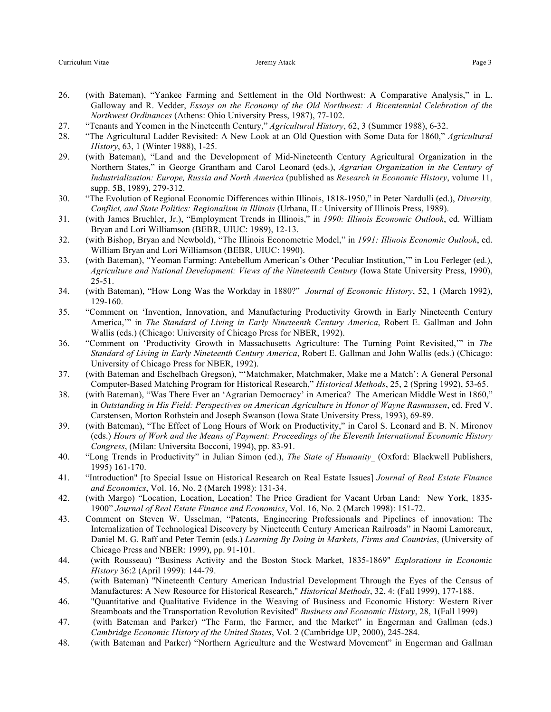- 27. "Tenants and Yeomen in the Nineteenth Century," *Agricultural History*, 62, 3 (Summer 1988), 6-32.
- 28. "The Agricultural Ladder Revisited: A New Look at an Old Question with Some Data for 1860," *Agricultural History*, 63, 1 (Winter 1988), 1-25.
- 29. (with Bateman), "Land and the Development of Mid-Nineteenth Century Agricultural Organization in the Northern States," in George Grantham and Carol Leonard (eds.), *Agrarian Organization in the Century of Industrialization: Europe, Russia and North America* (published as *Research in Economic History*, volume 11, supp. 5B, 1989), 279-312.
- 30. "The Evolution of Regional Economic Differences within Illinois, 1818-1950," in Peter Nardulli (ed.), *Diversity, Conflict, and State Politics: Regionalism in Illinois* (Urbana, IL: University of Illinois Press, 1989).
- 31. (with James Bruehler, Jr.), "Employment Trends in Illinois," in *1990: Illinois Economic Outlook*, ed. William Bryan and Lori Williamson (BEBR, UIUC: 1989), 12-13.
- 32. (with Bishop, Bryan and Newbold), "The Illinois Econometric Model," in *1991: Illinois Economic Outlook*, ed. William Bryan and Lori Williamson (BEBR, UIUC: 1990).
- 33. (with Bateman), "Yeoman Farming: Antebellum American's Other 'Peculiar Institution,'" in Lou Ferleger (ed.), *Agriculture and National Development: Views of the Nineteenth Century* (Iowa State University Press, 1990), 25-51.
- 34. (with Bateman), "How Long Was the Workday in 1880?" *Journal of Economic History*, 52, 1 (March 1992), 129-160.
- 35. "Comment on 'Invention, Innovation, and Manufacturing Productivity Growth in Early Nineteenth Century America,'" in *The Standard of Living in Early Nineteenth Century America*, Robert E. Gallman and John Wallis (eds.) (Chicago: University of Chicago Press for NBER, 1992).
- 36. "Comment on 'Productivity Growth in Massachusetts Agriculture: The Turning Point Revisited,'" in *The Standard of Living in Early Nineteenth Century America*, Robert E. Gallman and John Wallis (eds.) (Chicago: University of Chicago Press for NBER, 1992).
- 37. (with Bateman and Eschelbach Gregson), "'Matchmaker, Matchmaker, Make me a Match': A General Personal Computer-Based Matching Program for Historical Research," *Historical Methods*, 25, 2 (Spring 1992), 53-65.
- 38. (with Bateman), "Was There Ever an 'Agrarian Democracy' in America? The American Middle West in 1860," in *Outstanding in His Field: Perspectives on American Agriculture in Honor of Wayne Rasmussen*, ed. Fred V. Carstensen, Morton Rothstein and Joseph Swanson (Iowa State University Press, 1993), 69-89.
- 39. (with Bateman), "The Effect of Long Hours of Work on Productivity," in Carol S. Leonard and B. N. Mironov (eds.) *Hours of Work and the Means of Payment: Proceedings of the Eleventh International Economic History Congress*, (Milan: Universita Bocconi, 1994), pp. 83-91.
- 40. "Long Trends in Productivity" in Julian Simon (ed.), *The State of Humanity* (Oxford: Blackwell Publishers, 1995) 161-170.
- 41. "Introduction" [to Special Issue on Historical Research on Real Estate Issues] *Journal of Real Estate Finance and Economics*, Vol. 16, No. 2 (March 1998): 131-34.
- 42. (with Margo) "Location, Location, Location! The Price Gradient for Vacant Urban Land: New York, 1835- 1900" *Journal of Real Estate Finance and Economics*, Vol. 16, No. 2 (March 1998): 151-72.
- 43. Comment on Steven W. Usselman, "Patents, Engineering Professionals and Pipelines of innovation: The Internalization of Technological Discovery by Nineteenth Century American Railroads" in Naomi Lamoreaux, Daniel M. G. Raff and Peter Temin (eds.) *Learning By Doing in Markets, Firms and Countries*, (University of Chicago Press and NBER: 1999), pp. 91-101.
- 44. (with Rousseau) "Business Activity and the Boston Stock Market, 1835-1869" *Explorations in Economic History* 36:2 (April 1999): 144-79.
- 45. (with Bateman) "Nineteenth Century American Industrial Development Through the Eyes of the Census of Manufactures: A New Resource for Historical Research," *Historical Methods*, 32, 4: (Fall 1999), 177-188.
- 46. "Quantitative and Qualitative Evidence in the Weaving of Business and Economic History: Western River Steamboats and the Transportation Revolution Revisited" *Business and Economic History*, 28, 1(Fall 1999)
- 47. (with Bateman and Parker) "The Farm, the Farmer, and the Market" in Engerman and Gallman (eds.) *Cambridge Economic History of the United States*, Vol. 2 (Cambridge UP, 2000), 245-284.
- 48. (with Bateman and Parker) "Northern Agriculture and the Westward Movement" in Engerman and Gallman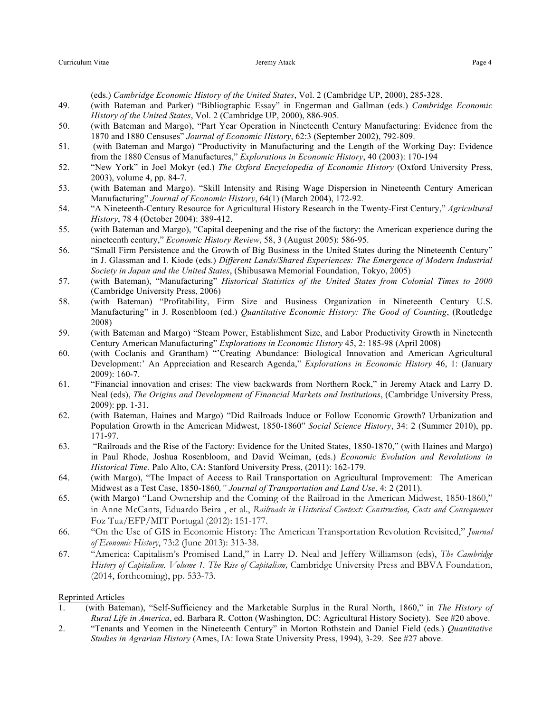(eds.) *Cambridge Economic History of the United States*, Vol. 2 (Cambridge UP, 2000), 285-328.

- 49. (with Bateman and Parker) "Bibliographic Essay" in Engerman and Gallman (eds.) *Cambridge Economic History of the United States*, Vol. 2 (Cambridge UP, 2000), 886-905.
- 50. (with Bateman and Margo), "Part Year Operation in Nineteenth Century Manufacturing: Evidence from the 1870 and 1880 Censuses" *Journal of Economic History*, 62:3 (September 2002), 792-809.
- 51. (with Bateman and Margo) "Productivity in Manufacturing and the Length of the Working Day: Evidence from the 1880 Census of Manufactures," *Explorations in Economic History*, 40 (2003): 170-194
- 52. "New York" in Joel Mokyr (ed.) *The Oxford Encyclopedia of Economic History* (Oxford University Press, 2003), volume 4, pp. 84-7.
- 53. (with Bateman and Margo). "Skill Intensity and Rising Wage Dispersion in Nineteenth Century American Manufacturing" *Journal of Economic History*, 64(1) (March 2004), 172-92.
- 54. "A Nineteenth-Century Resource for Agricultural History Research in the Twenty-First Century," *Agricultural History*, 78 4 (October 2004): 389-412.
- 55. (with Bateman and Margo), "Capital deepening and the rise of the factory: the American experience during the nineteenth century," *Economic History Review*, 58, 3 (August 2005): 586-95.
- 56. "Small Firm Persistence and the Growth of Big Business in the United States during the Nineteenth Century" in J. Glassman and I. Kiode (eds.) *Different Lands/Shared Experiences: The Emergence of Modern Industrial Society in Japan and the United States*, (Shibusawa Memorial Foundation, Tokyo, 2005)
- 57. (with Bateman), "Manufacturing" *Historical Statistics of the United States from Colonial Times to 2000* (Cambridge University Press, 2006)
- 58. (with Bateman) "Profitability, Firm Size and Business Organization in Nineteenth Century U.S. Manufacturing" in J. Rosenbloom (ed.) *Quantitative Economic History: The Good of Counting*, (Routledge 2008)
- 59. (with Bateman and Margo) "Steam Power, Establishment Size, and Labor Productivity Growth in Nineteenth Century American Manufacturing" *Explorations in Economic History* 45, 2: 185-98 (April 2008)
- 60. (with Coclanis and Grantham) "'Creating Abundance: Biological Innovation and American Agricultural Development:' An Appreciation and Research Agenda," *Explorations in Economic History* 46, 1: (January 2009): 160-7.
- 61. "Financial innovation and crises: The view backwards from Northern Rock," in Jeremy Atack and Larry D. Neal (eds), *The Origins and Development of Financial Markets and Institutions*, (Cambridge University Press, 2009): pp. 1-31.
- 62. (with Bateman, Haines and Margo) "Did Railroads Induce or Follow Economic Growth? Urbanization and Population Growth in the American Midwest, 1850-1860" *Social Science History*, 34: 2 (Summer 2010), pp. 171-97.
- 63. "Railroads and the Rise of the Factory: Evidence for the United States, 1850-1870," (with Haines and Margo) in Paul Rhode, Joshua Rosenbloom, and David Weiman, (eds.) *Economic Evolution and Revolutions in Historical Time*. Palo Alto, CA: Stanford University Press, (2011): 162-179.
- 64. (with Margo), "The Impact of Access to Rail Transportation on Agricultural Improvement: The American Midwest as a Test Case, 1850-1860*," Journal of Transportation and Land Use*, 4: 2 (2011).
- 65. (with Margo) "Land Ownership and the Coming of the Railroad in the American Midwest, 1850-1860," in Anne McCants, Eduardo Beira , et al., *Railroads in Historical Context: Construction, Costs and Consequences* Foz Tua/EFP/MIT Portugal (2012): 151-177.
- 66. "On the Use of GIS in Economic History: The American Transportation Revolution Revisited," *Journal of Economic History*, 73:2 (June 2013): 313-38.
- 67. "America: Capitalism's Promised Land," in Larry D. Neal and Jeffery Williamson (eds), *The Cambridge History of Capitalism. Volume 1. The Rise of Capitalism,* Cambridge University Press and BBVA Foundation, (2014, forthcoming), pp. 533-73.

#### Reprinted Articles

- 1. (with Bateman), "Self-Sufficiency and the Marketable Surplus in the Rural North, 1860," in *The History of Rural Life in America*, ed. Barbara R. Cotton (Washington, DC: Agricultural History Society). See #20 above.
- 2. "Tenants and Yeomen in the Nineteenth Century" in Morton Rothstein and Daniel Field (eds.) *Quantitative Studies in Agrarian History* (Ames, IA: Iowa State University Press, 1994), 3-29. See #27 above.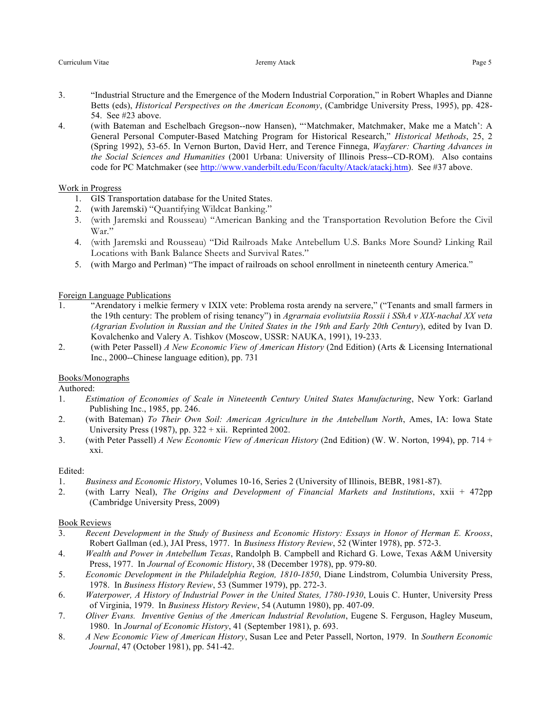- 3. "Industrial Structure and the Emergence of the Modern Industrial Corporation," in Robert Whaples and Dianne Betts (eds), *Historical Perspectives on the American Economy*, (Cambridge University Press, 1995), pp. 428- 54. See #23 above.
- 4. (with Bateman and Eschelbach Gregson--now Hansen), "'Matchmaker, Matchmaker, Make me a Match': A General Personal Computer-Based Matching Program for Historical Research," *Historical Methods*, 25, 2 (Spring 1992), 53-65. In Vernon Burton, David Herr, and Terence Finnega, *Wayfarer: Charting Advances in the Social Sciences and Humanities* (2001 Urbana: University of Illinois Press--CD-ROM). Also contains code for PC Matchmaker (see http://www.vanderbilt.edu/Econ/faculty/Atack/atackj.htm). See #37 above.

### Work in Progress

- 1. GIS Transportation database for the United States.
- 2. (with Jaremski) "Quantifying Wildcat Banking."
- 3. (with Jaremski and Rousseau) "American Banking and the Transportation Revolution Before the Civil War."
- 4. (with Jaremski and Rousseau) "Did Railroads Make Antebellum U.S. Banks More Sound? Linking Rail Locations with Bank Balance Sheets and Survival Rates."
- 5. (with Margo and Perlman) "The impact of railroads on school enrollment in nineteenth century America."

### Foreign Language Publications

- 1. "Arendatory i melkie fermery v IXIX vete: Problema rosta arendy na servere," ("Tenants and small farmers in the 19th century: The problem of rising tenancy") in *Agrarnaia evoliutsiia Rossii i SShA v XIX-nachal XX veta (Agrarian Evolution in Russian and the United States in the 19th and Early 20th Century*), edited by Ivan D. Kovalchenko and Valery A. Tishkov (Moscow, USSR: NAUKA, 1991), 19-233.
- 2. (with Peter Passell) *A New Economic View of American History* (2nd Edition) (Arts & Licensing International Inc., 2000--Chinese language edition), pp. 731

### Books/Monographs

Authored:

- 1. *Estimation of Economies of Scale in Nineteenth Century United States Manufacturing*, New York: Garland Publishing Inc., 1985, pp. 246.
- 2. (with Bateman) *To Their Own Soil: American Agriculture in the Antebellum North*, Ames, IA: Iowa State University Press (1987), pp.  $322 + xii$ . Reprinted 2002.
- 3. (with Peter Passell) *A New Economic View of American History* (2nd Edition) (W. W. Norton, 1994), pp. 714 + xxi.

### Edited:

- 1. *Business and Economic History*, Volumes 10-16, Series 2 (University of Illinois, BEBR, 1981-87).
- 2. (with Larry Neal), *The Origins and Development of Financial Markets and Institutions*, xxii + 472pp (Cambridge University Press, 2009)

### Book Reviews

- 3. *Recent Development in the Study of Business and Economic History: Essays in Honor of Herman E. Krooss*, Robert Gallman (ed.), JAI Press, 1977. In *Business History Review*, 52 (Winter 1978), pp. 572-3.
- 4. *Wealth and Power in Antebellum Texas*, Randolph B. Campbell and Richard G. Lowe, Texas A&M University Press, 1977. In *Journal of Economic History*, 38 (December 1978), pp. 979-80.
- 5. *Economic Development in the Philadelphia Region, 1810-1850*, Diane Lindstrom, Columbia University Press, 1978. In *Business History Review*, 53 (Summer 1979), pp. 272-3.
- 6. *Waterpower, A History of Industrial Power in the United States, 1780-1930*, Louis C. Hunter, University Press of Virginia, 1979. In *Business History Review*, 54 (Autumn 1980), pp. 407-09.
- 7. *Oliver Evans. Inventive Genius of the American Industrial Revolution*, Eugene S. Ferguson, Hagley Museum, 1980. In *Journal of Economic History*, 41 (September 1981), p. 693.
- 8. *A New Economic View of American History*, Susan Lee and Peter Passell, Norton, 1979. In *Southern Economic Journal*, 47 (October 1981), pp. 541-42.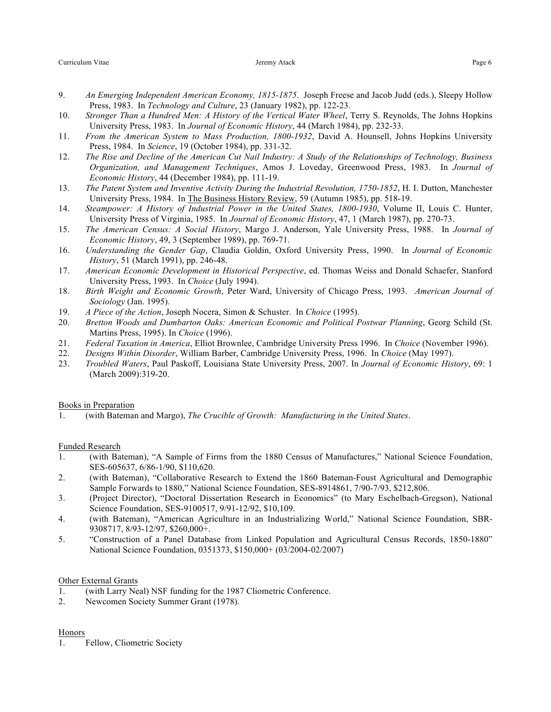- 9. *An Emerging Independent American Economy, 1815-1875*. Joseph Freese and Jacob Judd (eds.), Sleepy Hollow Press, 1983. In *Technology and Culture*, 23 (January 1982), pp. 122-23.
- 10. *Stronger Than a Hundred Men: A History of the Vertical Water Wheel*, Terry S. Reynolds, The Johns Hopkins University Press, 1983. In *Journal of Economic History*, 44 (March 1984), pp. 232-33.
- 11. *From the American System to Mass Production, 1800-1932*, David A. Hounsell, Johns Hopkins University Press, 1984. In *Science*, 19 (October 1984), pp. 331-32.
- 12. *The Rise and Decline of the American Cut Nail Industry: A Study of the Relationships of Technology, Business Organization, and Management Techniques*, Amos J. Loveday, Greenwood Press, 1983. In *Journal of Economic History*, 44 (December 1984), pp. 111-19.
- 13. *The Patent System and Inventive Activity During the Industrial Revolution, 1750-1852*, H. I. Dutton, Manchester University Press, 1984. In The Business History Review, 59 (Autumn 1985), pp. 518-19.
- 14. *Steampower: A History of Industrial Power in the United States, 1800-1930*, Volume II, Louis C. Hunter, University Press of Virginia, 1985. In *Journal of Economic History*, 47, 1 (March 1987), pp. 270-73.
- 15. *The American Census: A Social History*, Margo J. Anderson, Yale University Press, 1988. In *Journal of Economic History*, 49, 3 (September 1989), pp. 769-71.
- 16. *Understanding the Gender Gap*, Claudia Goldin, Oxford University Press, 1990. In *Journal of Economic History*, 51 (March 1991), pp. 246-48.
- 17. *American Economic Development in Historical Perspective*, ed. Thomas Weiss and Donald Schaefer, Stanford University Press, 1993. In *Choice* (July 1994).
- 18. *Birth Weight and Economic Growth*, Peter Ward, University of Chicago Press, 1993. *American Journal of Sociology* (Jan. 1995).
- 19. *A Piece of the Action*, Joseph Nocera, Simon & Schuster. In *Choice* (1995).
- 20. *Bretton Woods and Dumbarton Oaks: American Economic and Political Postwar Planning*, Georg Schild (St. Martins Press, 1995). In *Choice* (1996).
- 21. *Federal Taxation in America*, Elliot Brownlee, Cambridge University Press 1996. In *Choice* (November 1996).
- 22. *Designs Within Disorder*, William Barber, Cambridge University Press, 1996. In *Choice* (May 1997).
- 23. *Troubled Waters*, Paul Paskoff, Louisiana State University Press, 2007. In *Journal of Economic History*, 69: 1 (March 2009):319-20.

### Books in Preparation

1. (with Bateman and Margo), *The Crucible of Growth: Manufacturing in the United States*.

### Funded Research

- 1. (with Bateman), "A Sample of Firms from the 1880 Census of Manufactures," National Science Foundation, SES-605637, 6/86-1/90, \$110,620.
- 2. (with Bateman), "Collaborative Research to Extend the 1860 Bateman-Foust Agricultural and Demographic Sample Forwards to 1880," National Science Foundation, SES-8914861, 7/90-7/93, \$212,806.
- 3. (Project Director), "Doctoral Dissertation Research in Economics" (to Mary Eschelbach-Gregson), National Science Foundation, SES-9100517, 9/91-12/92, \$10,109.
- 4. (with Bateman), "American Agriculture in an Industrializing World," National Science Foundation, SBR-9308717, 8/93-12/97, \$260,000+.
- 5. "Construction of a Panel Database from Linked Population and Agricultural Census Records, 1850-1880" National Science Foundation, 0351373, \$150,000+ (03/2004-02/2007)

### Other External Grants

- 1. (with Larry Neal) NSF funding for the 1987 Cliometric Conference.
- 2. Newcomen Society Summer Grant (1978).

## Honors

1. Fellow, Cliometric Society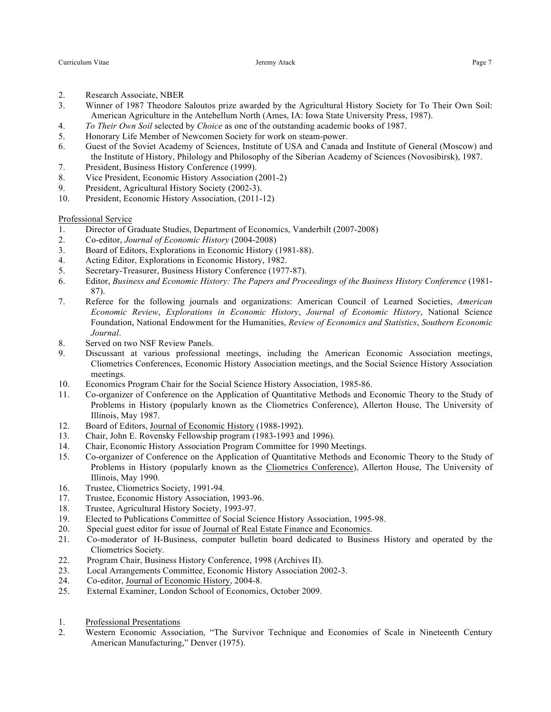- 2. Research Associate, NBER
- 3. Winner of 1987 Theodore Saloutos prize awarded by the Agricultural History Society for To Their Own Soil: American Agriculture in the Antebellum North (Ames, IA: Iowa State University Press, 1987).
- 4. *To Their Own Soil* selected by *Choice* as one of the outstanding academic books of 1987.
- 5. Honorary Life Member of Newcomen Society for work on steam-power.
- 6. Guest of the Soviet Academy of Sciences, Institute of USA and Canada and Institute of General (Moscow) and the Institute of History, Philology and Philosophy of the Siberian Academy of Sciences (Novosibirsk), 1987.
- 7. President, Business History Conference (1999).
- 8. Vice President, Economic History Association (2001-2)
- 9. President, Agricultural History Society (2002-3).
- 10. President, Economic History Association, (2011-12)

Professional Service

- 1. Director of Graduate Studies, Department of Economics, Vanderbilt (2007-2008)
- 2. Co-editor, *Journal of Economic History* (2004-2008)
- 3. Board of Editors, Explorations in Economic History (1981-88).
- 4. Acting Editor, Explorations in Economic History, 1982.
- 5. Secretary-Treasurer, Business History Conference (1977-87).
- 6. Editor, *Business and Economic History: The Papers and Proceedings of the Business History Conference* (1981- 87).
- 7. Referee for the following journals and organizations: American Council of Learned Societies, *American Economic Review*, *Explorations in Economic History*, *Journal of Economic History*, National Science Foundation, National Endowment for the Humanities, *Review of Economics and Statistics*, *Southern Economic Journal*.
- 8. Served on two NSF Review Panels.
- 9. Discussant at various professional meetings, including the American Economic Association meetings, Cliometrics Conferences, Economic History Association meetings, and the Social Science History Association meetings.
- 10. Economics Program Chair for the Social Science History Association, 1985-86.
- 11. Co-organizer of Conference on the Application of Quantitative Methods and Economic Theory to the Study of Problems in History (popularly known as the Cliometrics Conference), Allerton House, The University of Illinois, May 1987.
- 12. Board of Editors, Journal of Economic History (1988-1992).
- 13. Chair, John E. Rovensky Fellowship program (1983-1993 and 1996).
- 14. Chair, Economic History Association Program Committee for 1990 Meetings.
- 15. Co-organizer of Conference on the Application of Quantitative Methods and Economic Theory to the Study of Problems in History (popularly known as the Cliometrics Conference), Allerton House, The University of Illinois, May 1990.
- 16. Trustee, Cliometrics Society, 1991-94.
- 17. Trustee, Economic History Association, 1993-96.
- 18. Trustee, Agricultural History Society, 1993-97.
- 19. Elected to Publications Committee of Social Science History Association, 1995-98.
- 20. Special guest editor for issue of Journal of Real Estate Finance and Economics.
- 21. Co-moderator of H-Business, computer bulletin board dedicated to Business History and operated by the Cliometrics Society.
- 22. Program Chair, Business History Conference, 1998 (Archives II).
- 23. Local Arrangements Committee, Economic History Association 2002-3.
- 24. Co-editor, Journal of Economic History, 2004-8.
- 25. External Examiner, London School of Economics, October 2009.
- 1. Professional Presentations
- 2. Western Economic Association, "The Survivor Technique and Economies of Scale in Nineteenth Century American Manufacturing," Denver (1975).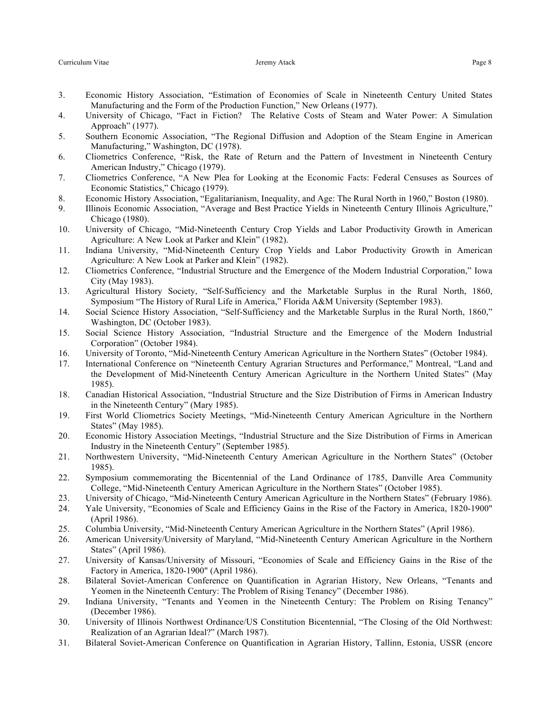- 3. Economic History Association, "Estimation of Economies of Scale in Nineteenth Century United States Manufacturing and the Form of the Production Function," New Orleans (1977).
- 4. University of Chicago, "Fact in Fiction? The Relative Costs of Steam and Water Power: A Simulation Approach" (1977).
- 5. Southern Economic Association, "The Regional Diffusion and Adoption of the Steam Engine in American Manufacturing," Washington, DC (1978).
- 6. Cliometrics Conference, "Risk, the Rate of Return and the Pattern of Investment in Nineteenth Century American Industry," Chicago (1979).
- 7. Cliometrics Conference, "A New Plea for Looking at the Economic Facts: Federal Censuses as Sources of Economic Statistics," Chicago (1979).
- 8. Economic History Association, "Egalitarianism, Inequality, and Age: The Rural North in 1960," Boston (1980).
- 9. Illinois Economic Association, "Average and Best Practice Yields in Nineteenth Century Illinois Agriculture," Chicago (1980).
- 10. University of Chicago, "Mid-Nineteenth Century Crop Yields and Labor Productivity Growth in American Agriculture: A New Look at Parker and Klein" (1982).
- 11. Indiana University, "Mid-Nineteenth Century Crop Yields and Labor Productivity Growth in American Agriculture: A New Look at Parker and Klein" (1982).
- 12. Cliometrics Conference, "Industrial Structure and the Emergence of the Modern Industrial Corporation," Iowa City (May 1983).
- 13. Agricultural History Society, "Self-Sufficiency and the Marketable Surplus in the Rural North, 1860, Symposium "The History of Rural Life in America," Florida A&M University (September 1983).
- 14. Social Science History Association, "Self-Sufficiency and the Marketable Surplus in the Rural North, 1860," Washington, DC (October 1983).
- 15. Social Science History Association, "Industrial Structure and the Emergence of the Modern Industrial Corporation" (October 1984).
- 16. University of Toronto, "Mid-Nineteenth Century American Agriculture in the Northern States" (October 1984).
- 17. International Conference on "Nineteenth Century Agrarian Structures and Performance," Montreal, "Land and the Development of Mid-Nineteenth Century American Agriculture in the Northern United States" (May 1985).
- 18. Canadian Historical Association, "Industrial Structure and the Size Distribution of Firms in American Industry in the Nineteenth Century" (Mary 1985).
- 19. First World Cliometrics Society Meetings, "Mid-Nineteenth Century American Agriculture in the Northern States" (May 1985).
- 20. Economic History Association Meetings, "Industrial Structure and the Size Distribution of Firms in American Industry in the Nineteenth Century" (September 1985).
- 21. Northwestern University, "Mid-Nineteenth Century American Agriculture in the Northern States" (October 1985).
- 22. Symposium commemorating the Bicentennial of the Land Ordinance of 1785, Danville Area Community College, "Mid-Nineteenth Century American Agriculture in the Northern States" (October 1985).
- 23. University of Chicago, "Mid-Nineteenth Century American Agriculture in the Northern States" (February 1986).
- 24. Yale University, "Economies of Scale and Efficiency Gains in the Rise of the Factory in America, 1820-1900" (April 1986).
- 25. Columbia University, "Mid-Nineteenth Century American Agriculture in the Northern States" (April 1986).
- 26. American University/University of Maryland, "Mid-Nineteenth Century American Agriculture in the Northern States" (April 1986).
- 27. University of Kansas/University of Missouri, "Economies of Scale and Efficiency Gains in the Rise of the Factory in America, 1820-1900" (April 1986).
- 28. Bilateral Soviet-American Conference on Quantification in Agrarian History, New Orleans, "Tenants and Yeomen in the Nineteenth Century: The Problem of Rising Tenancy" (December 1986).
- 29. Indiana University, "Tenants and Yeomen in the Nineteenth Century: The Problem on Rising Tenancy" (December 1986).
- 30. University of Illinois Northwest Ordinance/US Constitution Bicentennial, "The Closing of the Old Northwest: Realization of an Agrarian Ideal?" (March 1987).
- 31. Bilateral Soviet-American Conference on Quantification in Agrarian History, Tallinn, Estonia, USSR (encore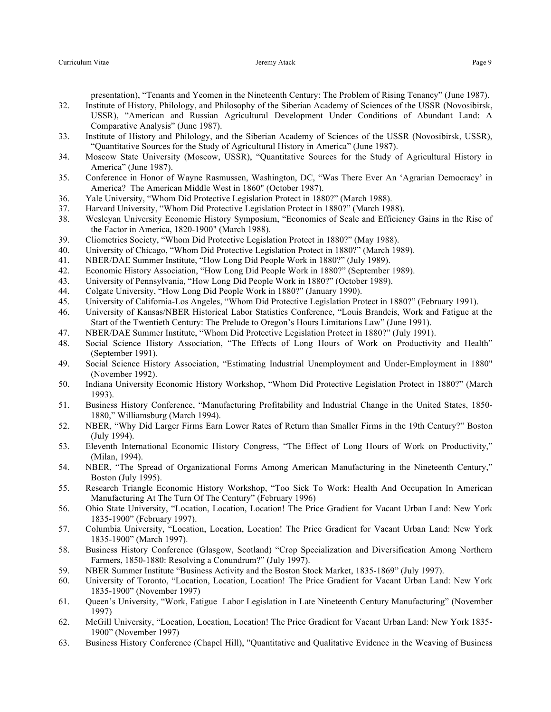presentation), "Tenants and Yeomen in the Nineteenth Century: The Problem of Rising Tenancy" (June 1987).

- 32. Institute of History, Philology, and Philosophy of the Siberian Academy of Sciences of the USSR (Novosibirsk, USSR), "American and Russian Agricultural Development Under Conditions of Abundant Land: A Comparative Analysis" (June 1987).
- 33. Institute of History and Philology, and the Siberian Academy of Sciences of the USSR (Novosibirsk, USSR), "Quantitative Sources for the Study of Agricultural History in America" (June 1987).
- 34. Moscow State University (Moscow, USSR), "Quantitative Sources for the Study of Agricultural History in America" (June 1987).
- 35. Conference in Honor of Wayne Rasmussen, Washington, DC, "Was There Ever An 'Agrarian Democracy' in America? The American Middle West in 1860" (October 1987).
- 36. Yale University, "Whom Did Protective Legislation Protect in 1880?" (March 1988).
- 37. Harvard University, "Whom Did Protective Legislation Protect in 1880?" (March 1988).
- 38. Wesleyan University Economic History Symposium, "Economies of Scale and Efficiency Gains in the Rise of the Factor in America, 1820-1900" (March 1988).
- 39. Cliometrics Society, "Whom Did Protective Legislation Protect in 1880?" (May 1988).
- 40. University of Chicago, "Whom Did Protective Legislation Protect in 1880?" (March 1989).
- 41. NBER/DAE Summer Institute, "How Long Did People Work in 1880?" (July 1989).
- 42. Economic History Association, "How Long Did People Work in 1880?" (September 1989).
- 43. University of Pennsylvania, "How Long Did People Work in 1880?" (October 1989).
- 44. Colgate University, "How Long Did People Work in 1880?" (January 1990).
- 45. University of California-Los Angeles, "Whom Did Protective Legislation Protect in 1880?" (February 1991).
- 46. University of Kansas/NBER Historical Labor Statistics Conference, "Louis Brandeis, Work and Fatigue at the Start of the Twentieth Century: The Prelude to Oregon's Hours Limitations Law" (June 1991).
- 47. NBER/DAE Summer Institute, "Whom Did Protective Legislation Protect in 1880?" (July 1991).
- 48. Social Science History Association, "The Effects of Long Hours of Work on Productivity and Health" (September 1991).
- 49. Social Science History Association, "Estimating Industrial Unemployment and Under-Employment in 1880" (November 1992).
- 50. Indiana University Economic History Workshop, "Whom Did Protective Legislation Protect in 1880?" (March 1993).
- 51. Business History Conference, "Manufacturing Profitability and Industrial Change in the United States, 1850- 1880," Williamsburg (March 1994).
- 52. NBER, "Why Did Larger Firms Earn Lower Rates of Return than Smaller Firms in the 19th Century?" Boston (July 1994).
- 53. Eleventh International Economic History Congress, "The Effect of Long Hours of Work on Productivity," (Milan, 1994).
- 54. NBER, "The Spread of Organizational Forms Among American Manufacturing in the Nineteenth Century," Boston (July 1995).
- 55. Research Triangle Economic History Workshop, "Too Sick To Work: Health And Occupation In American Manufacturing At The Turn Of The Century" (February 1996)
- 56. Ohio State University, "Location, Location, Location! The Price Gradient for Vacant Urban Land: New York 1835-1900" (February 1997).
- 57. Columbia University, "Location, Location, Location! The Price Gradient for Vacant Urban Land: New York 1835-1900" (March 1997).
- 58. Business History Conference (Glasgow, Scotland) "Crop Specialization and Diversification Among Northern Farmers, 1850-1880: Resolving a Conundrum?" (July 1997).
- 59. NBER Summer Institute "Business Activity and the Boston Stock Market, 1835-1869" (July 1997).
- 60. University of Toronto, "Location, Location, Location! The Price Gradient for Vacant Urban Land: New York 1835-1900" (November 1997)
- 61. Queen's University, "Work, Fatigue Labor Legislation in Late Nineteenth Century Manufacturing" (November 1997)
- 62. McGill University, "Location, Location, Location! The Price Gradient for Vacant Urban Land: New York 1835- 1900" (November 1997)
- 63. Business History Conference (Chapel Hill), "Quantitative and Qualitative Evidence in the Weaving of Business